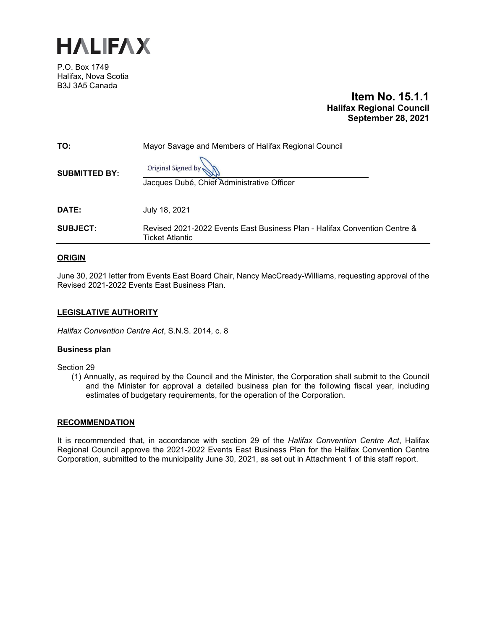

P.O. Box 1749 Halifax, Nova Scotia B3J 3A5 Canada

## **Item No. 15.1.1 Halifax Regional Council September 28, 2021**

| TO:                  | Mayor Savage and Members of Halifax Regional Council                                                |  |  |
|----------------------|-----------------------------------------------------------------------------------------------------|--|--|
| <b>SUBMITTED BY:</b> | Original Signed by<br>Jacques Dubé, Chief Administrative Officer                                    |  |  |
| DATE:                | July 18, 2021                                                                                       |  |  |
| <b>SUBJECT:</b>      | Revised 2021-2022 Events East Business Plan - Halifax Convention Centre &<br><b>Ticket Atlantic</b> |  |  |

## **ORIGIN**

June 30, 2021 letter from Events East Board Chair, Nancy MacCready-Williams, requesting approval of the Revised 2021-2022 Events East Business Plan.

## **LEGISLATIVE AUTHORITY**

*Halifax Convention Centre Act*, S.N.S. 2014, c. 8

## **Business plan**

Section 29

(1) Annually, as required by the Council and the Minister, the Corporation shall submit to the Council and the Minister for approval a detailed business plan for the following fiscal year, including estimates of budgetary requirements, for the operation of the Corporation.

## **RECOMMENDATION**

It is recommended that, in accordance with section 29 of the *Halifax Convention Centre Act*, Halifax Regional Council approve the 2021-2022 Events East Business Plan for the Halifax Convention Centre Corporation, submitted to the municipality June 30, 2021, as set out in Attachment 1 of this staff report.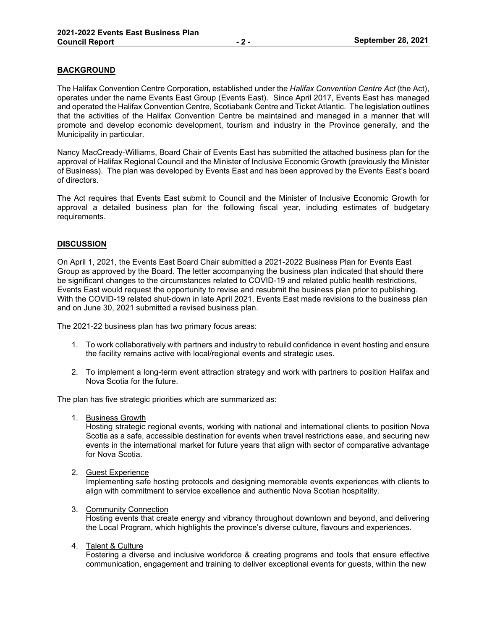## **BACKGROUND**

The Halifax Convention Centre Corporation, established under the *Halifax Convention Centre Act* (the Act), operates under the name Events East Group (Events East). Since April 2017, Events East has managed and operated the Halifax Convention Centre, Scotiabank Centre and Ticket Atlantic. The legislation outlines that the activities of the Halifax Convention Centre be maintained and managed in a manner that will promote and develop economic development, tourism and industry in the Province generally, and the Municipality in particular.

Nancy MacCready-Williams, Board Chair of Events East has submitted the attached business plan for the approval of Halifax Regional Council and the Minister of Inclusive Economic Growth (previously the Minister of Business). The plan was developed by Events East and has been approved by the Events East's board of directors.

The Act requires that Events East submit to Council and the Minister of Inclusive Economic Growth for approval a detailed business plan for the following fiscal year, including estimates of budgetary requirements.

## **DISCUSSION**

On April 1, 2021, the Events East Board Chair submitted a 2021-2022 Business Plan for Events East Group as approved by the Board. The letter accompanying the business plan indicated that should there be significant changes to the circumstances related to COVID-19 and related public health restrictions, Events East would request the opportunity to revise and resubmit the business plan prior to publishing. With the COVID-19 related shut-down in late April 2021, Events East made revisions to the business plan and on June 30, 2021 submitted a revised business plan.

The 2021-22 business plan has two primary focus areas:

- 1. To work collaboratively with partners and industry to rebuild confidence in event hosting and ensure the facility remains active with local/regional events and strategic uses.
- 2. To implement a long-term event attraction strategy and work with partners to position Halifax and Nova Scotia for the future.

The plan has five strategic priorities which are summarized as:

1. Business Growth

Hosting strategic regional events, working with national and international clients to position Nova Scotia as a safe, accessible destination for events when travel restrictions ease, and securing new events in the international market for future years that align with sector of comparative advantage for Nova Scotia.

2. Guest Experience

Implementing safe hosting protocols and designing memorable events experiences with clients to align with commitment to service excellence and authentic Nova Scotian hospitality.

#### 3. Community Connection

Hosting events that create energy and vibrancy throughout downtown and beyond, and delivering the Local Program, which highlights the province's diverse culture, flavours and experiences.

#### 4. Talent & Culture

Fostering a diverse and inclusive workforce & creating programs and tools that ensure effective communication, engagement and training to deliver exceptional events for guests, within the new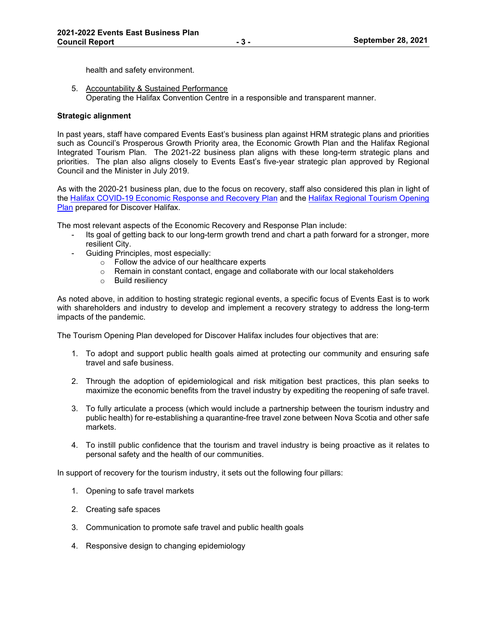health and safety environment.

5. Accountability & Sustained Performance Operating the Halifax Convention Centre in a responsible and transparent manner.

## **Strategic alignment**

In past years, staff have compared Events East's business plan against HRM strategic plans and priorities such as Council's Prosperous Growth Priority area, the Economic Growth Plan and the Halifax Regional Integrated Tourism Plan. The 2021-22 business plan aligns with these long-term strategic plans and priorities. The plan also aligns closely to Events East's five-year strategic plan approved by Regional Council and the Minister in July 2019.

As with the 2020-21 business plan, due to the focus on recovery, staff also considered this plan in light of the [Halifax COVID-19 Economic Response and Recovery Plan](https://halifaxpartnership.com/sites/default/uploads/Research-Strategy-Section/Halifaxs-COVID-19-Economic-Response-Recovery-Plan-May-12-2020.pdf) and the [Halifax Regional Tourism Opening](https://discoverhalifaxns.com/wp-content/uploads/2020/06/Halifax-Regional-Tourism-Opening-Plan.pdf)  [Plan](https://discoverhalifaxns.com/wp-content/uploads/2020/06/Halifax-Regional-Tourism-Opening-Plan.pdf) prepared for Discover Halifax.

The most relevant aspects of the Economic Recovery and Response Plan include:

- Its goal of getting back to our long-term growth trend and chart a path forward for a stronger, more resilient City.
- Guiding Principles, most especially:
	- $\circ$  Follow the advice of our healthcare experts  $\circ$  Remain in constant contact, engage and co
	- Remain in constant contact, engage and collaborate with our local stakeholders
	- o Build resiliency

As noted above, in addition to hosting strategic regional events, a specific focus of Events East is to work with shareholders and industry to develop and implement a recovery strategy to address the long-term impacts of the pandemic.

The Tourism Opening Plan developed for Discover Halifax includes four objectives that are:

- 1. To adopt and support public health goals aimed at protecting our community and ensuring safe travel and safe business.
- 2. Through the adoption of epidemiological and risk mitigation best practices, this plan seeks to maximize the economic benefits from the travel industry by expediting the reopening of safe travel.
- 3. To fully articulate a process (which would include a partnership between the tourism industry and public health) for re-establishing a quarantine-free travel zone between Nova Scotia and other safe markets.
- 4. To instill public confidence that the tourism and travel industry is being proactive as it relates to personal safety and the health of our communities.

In support of recovery for the tourism industry, it sets out the following four pillars:

- 1. Opening to safe travel markets
- 2. Creating safe spaces
- 3. Communication to promote safe travel and public health goals
- 4. Responsive design to changing epidemiology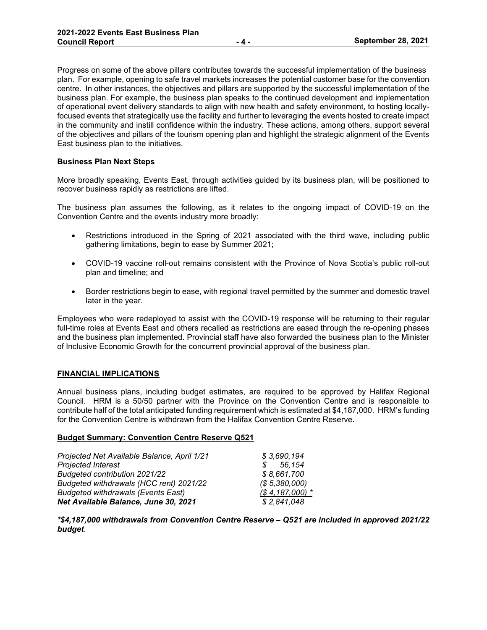Progress on some of the above pillars contributes towards the successful implementation of the business plan. For example, opening to safe travel markets increases the potential customer base for the convention centre. In other instances, the objectives and pillars are supported by the successful implementation of the business plan. For example, the business plan speaks to the continued development and implementation of operational event delivery standards to align with new health and safety environment, to hosting locallyfocused events that strategically use the facility and further to leveraging the events hosted to create impact in the community and instill confidence within the industry. These actions, among others, support several of the objectives and pillars of the tourism opening plan and highlight the strategic alignment of the Events East business plan to the initiatives.

## **Business Plan Next Steps**

More broadly speaking, Events East, through activities guided by its business plan, will be positioned to recover business rapidly as restrictions are lifted.

The business plan assumes the following, as it relates to the ongoing impact of COVID-19 on the Convention Centre and the events industry more broadly:

- Restrictions introduced in the Spring of 2021 associated with the third wave, including public gathering limitations, begin to ease by Summer 2021;
- COVID-19 vaccine roll-out remains consistent with the Province of Nova Scotia's public roll-out plan and timeline; and
- Border restrictions begin to ease, with regional travel permitted by the summer and domestic travel later in the year.

Employees who were redeployed to assist with the COVID-19 response will be returning to their regular full-time roles at Events East and others recalled as restrictions are eased through the re-opening phases and the business plan implemented. Provincial staff have also forwarded the business plan to the Minister of Inclusive Economic Growth for the concurrent provincial approval of the business plan.

## **FINANCIAL IMPLICATIONS**

Annual business plans, including budget estimates, are required to be approved by Halifax Regional Council. HRM is a 50/50 partner with the Province on the Convention Centre and is responsible to contribute half of the total anticipated funding requirement which is estimated at \$4,187,000. HRM's funding for the Convention Centre is withdrawn from the Halifax Convention Centre Reserve.

## **Budget Summary: Convention Centre Reserve Q521**

| Projected Net Available Balance, April 1/21 | \$3.690.194             |
|---------------------------------------------|-------------------------|
| <b>Projected Interest</b>                   | 56.154<br>$\mathcal{S}$ |
| Budgeted contribution 2021/22               | \$8,661,700             |
| Budgeted withdrawals (HCC rent) 2021/22     | (S, 5, 380, 000)        |
| <b>Budgeted withdrawals (Events East)</b>   | $($4,187,000)$ *        |
| Net Available Balance, June 30, 2021        | \$2,841,048             |

*\*\$4,187,000 withdrawals from Convention Centre Reserve – Q521 are included in approved 2021/22 budget*.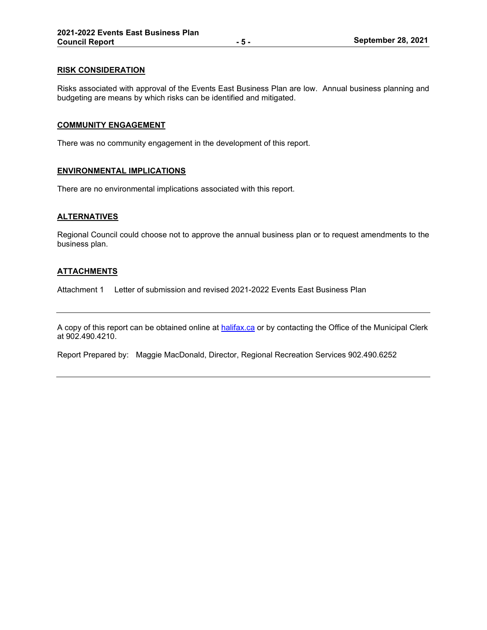## **RISK CONSIDERATION**

Risks associated with approval of the Events East Business Plan are low. Annual business planning and budgeting are means by which risks can be identified and mitigated.

#### **COMMUNITY ENGAGEMENT**

There was no community engagement in the development of this report.

## **ENVIRONMENTAL IMPLICATIONS**

There are no environmental implications associated with this report.

### **ALTERNATIVES**

Regional Council could choose not to approve the annual business plan or to request amendments to the business plan.

### **ATTACHMENTS**

Attachment 1 Letter of submission and revised 2021-2022 Events East Business Plan

A copy of this report can be obtained online at [halifax.ca](http://www.halifax.ca/) or by contacting the Office of the Municipal Clerk at 902.490.4210.

Report Prepared by: Maggie MacDonald, Director, Regional Recreation Services 902.490.6252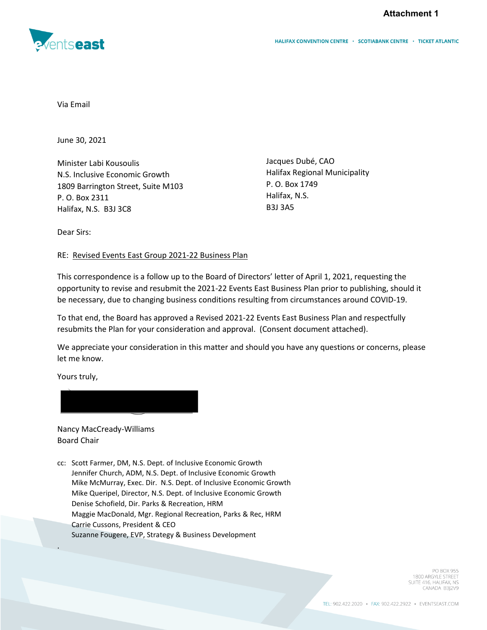**Attachment 1**



Via Email

June 30, 2021

Minister Labi Kousoulis N.S. Inclusive Economic Growth 1809 Barrington Street, Suite M103 P. O. Box 2311 Halifax, N.S. B3J 3C8

Jacques Dubé, CAO Halifax Regional Municipality P. O. Box 1749 Halifax, N.S. B3J 3A5

Dear Sirs:

RE: Revised Events East Group 2021-22 Business Plan

This correspondence is a follow up to the Board of Directors' letter of April 1, 2021, requesting the opportunity to revise and resubmit the 2021-22 Events East Business Plan prior to publishing, should it be necessary, due to changing business conditions resulting from circumstances around COVID-19.

To that end, the Board has approved a Revised 2021-22 Events East Business Plan and respectfully resubmits the Plan for your consideration and approval. (Consent document attached).

We appreciate your consideration in this matter and should you have any questions or concerns, please let me know.

Yours truly,

.



Nancy MacCready-Williams Board Chair

cc: Scott Farmer, DM, N.S. Dept. of Inclusive Economic Growth Jennifer Church, ADM, N.S. Dept. of Inclusive Economic Growth Mike McMurray, Exec. Dir. N.S. Dept. of Inclusive Economic Growth Mike Queripel, Director, N.S. Dept. of Inclusive Economic Growth Denise Schofield, Dir. Parks & Recreation, HRM Maggie MacDonald, Mgr. Regional Recreation, Parks & Rec, HRM Carrie Cussons, President & CEO Suzanne Fougere, EVP, Strategy & Business Development

> **PO BOX 955** 1800 ARGYLE STREET SUITE 416, HALIFAX, NS CANADA B3J2V9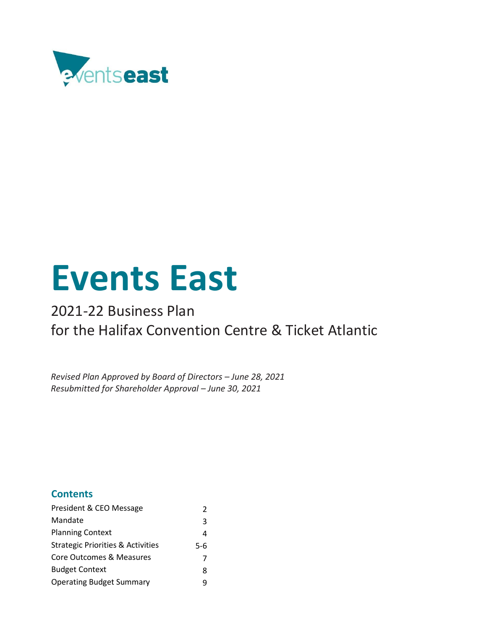

# **Events East**

## 2021-22 Business Plan for the Halifax Convention Centre & Ticket Atlantic

*Revised Plan Approved by Board of Directors – June 28, 2021 Resubmitted for Shareholder Approval – June 30, 2021*

## **Contents**

| President & CEO Message                      | 2   |
|----------------------------------------------|-----|
| Mandate                                      | 3   |
| <b>Planning Context</b>                      | 4   |
| <b>Strategic Priorities &amp; Activities</b> | 5-6 |
| Core Outcomes & Measures                     | 7   |
| <b>Budget Context</b>                        | 8   |
| <b>Operating Budget Summary</b>              |     |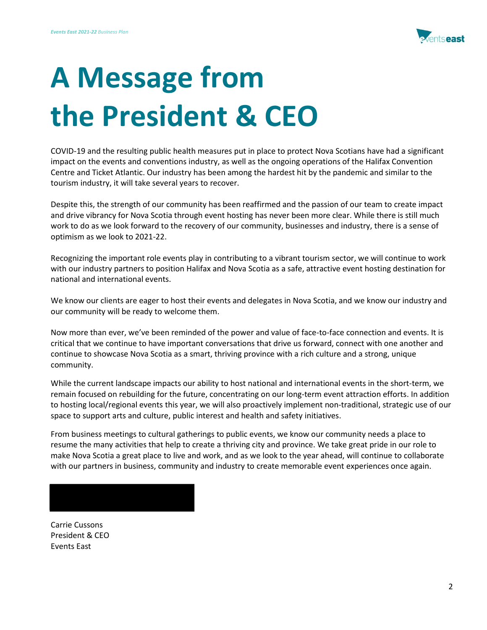

# **A Message from the President & CEO**

COVID-19 and the resulting public health measures put in place to protect Nova Scotians have had a significant impact on the events and conventions industry, as well as the ongoing operations of the Halifax Convention Centre and Ticket Atlantic. Our industry has been among the hardest hit by the pandemic and similar to the tourism industry, it will take several years to recover.

Despite this, the strength of our community has been reaffirmed and the passion of our team to create impact and drive vibrancy for Nova Scotia through event hosting has never been more clear. While there is still much work to do as we look forward to the recovery of our community, businesses and industry, there is a sense of optimism as we look to 2021-22.

Recognizing the important role events play in contributing to a vibrant tourism sector, we will continue to work with our industry partners to position Halifax and Nova Scotia as a safe, attractive event hosting destination for national and international events.

We know our clients are eager to host their events and delegates in Nova Scotia, and we know our industry and our community will be ready to welcome them.

Now more than ever, we've been reminded of the power and value of face-to-face connection and events. It is critical that we continue to have important conversations that drive us forward, connect with one another and continue to showcase Nova Scotia as a smart, thriving province with a rich culture and a strong, unique community.

While the current landscape impacts our ability to host national and international events in the short-term, we remain focused on rebuilding for the future, concentrating on our long-term event attraction efforts. In addition to hosting local/regional events this year, we will also proactively implement non-traditional, strategic use of our space to support arts and culture, public interest and health and safety initiatives.

From business meetings to cultural gatherings to public events, we know our community needs a place to resume the many activities that help to create a thriving city and province. We take great pride in our role to make Nova Scotia a great place to live and work, and as we look to the year ahead, will continue to collaborate with our partners in business, community and industry to create memorable event experiences once again.

Carrie Cussons President & CEO Events East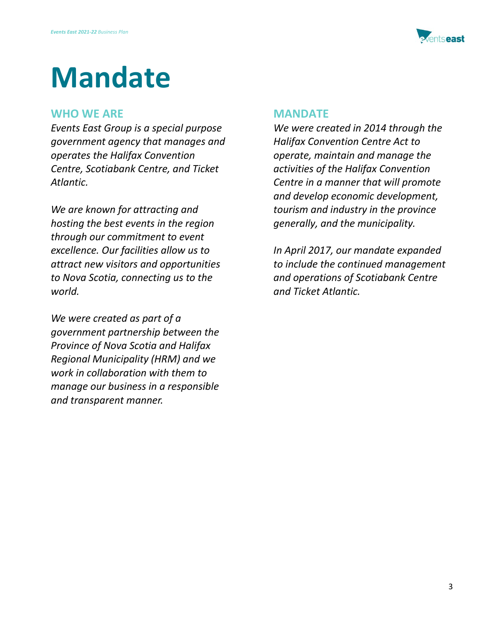

## **Mandate**

## **WHO WE ARE**

*Events East Group is a special purpose government agency that manages and operates the Halifax Convention Centre, Scotiabank Centre, and Ticket Atlantic.* 

*We are known for attracting and hosting the best events in the region through our commitment to event excellence. Our facilities allow us to attract new visitors and opportunities to Nova Scotia, connecting us to the world.* 

*We were created as part of a government partnership between the Province of Nova Scotia and Halifax Regional Municipality (HRM) and we work in collaboration with them to manage our business in a responsible and transparent manner.*

## **MANDATE**

*We were created in 2014 through the Halifax Convention Centre Act to operate, maintain and manage the activities of the Halifax Convention Centre in a manner that will promote and develop economic development, tourism and industry in the province generally, and the municipality.* 

*In April 2017, our mandate expanded to include the continued management and operations of Scotiabank Centre and Ticket Atlantic.*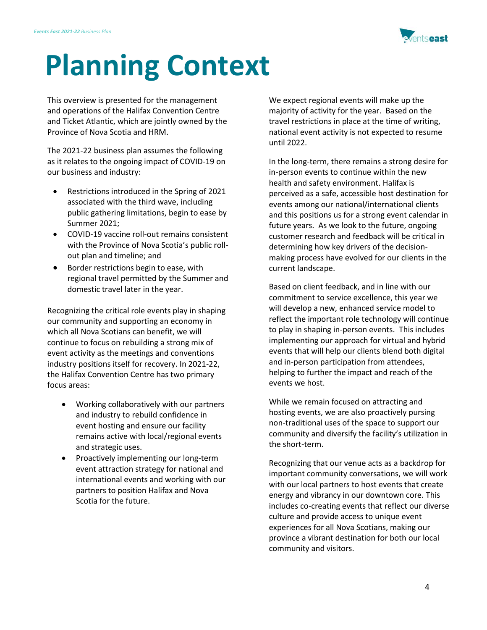

# **Planning Context**

This overview is presented for the management and operations of the Halifax Convention Centre and Ticket Atlantic, which are jointly owned by the Province of Nova Scotia and HRM.

The 2021-22 business plan assumes the following as it relates to the ongoing impact of COVID-19 on our business and industry:

- Restrictions introduced in the Spring of 2021 associated with the third wave, including public gathering limitations, begin to ease by Summer 2021;
- COVID-19 vaccine roll-out remains consistent with the Province of Nova Scotia's public rollout plan and timeline; and
- Border restrictions begin to ease, with regional travel permitted by the Summer and domestic travel later in the year.

Recognizing the critical role events play in shaping our community and supporting an economy in which all Nova Scotians can benefit, we will continue to focus on rebuilding a strong mix of event activity as the meetings and conventions industry positions itself for recovery. In 2021-22, the Halifax Convention Centre has two primary focus areas:

- Working collaboratively with our partners and industry to rebuild confidence in event hosting and ensure our facility remains active with local/regional events and strategic uses.
- Proactively implementing our long-term event attraction strategy for national and international events and working with our partners to position Halifax and Nova Scotia for the future.

We expect regional events will make up the majority of activity for the year. Based on the travel restrictions in place at the time of writing, national event activity is not expected to resume until 2022.

In the long-term, there remains a strong desire for in-person events to continue within the new health and safety environment. Halifax is perceived as a safe, accessible host destination for events among our national/international clients and this positions us for a strong event calendar in future years. As we look to the future, ongoing customer research and feedback will be critical in determining how key drivers of the decisionmaking process have evolved for our clients in the current landscape.

Based on client feedback, and in line with our commitment to service excellence, this year we will develop a new, enhanced service model to reflect the important role technology will continue to play in shaping in-person events. This includes implementing our approach for virtual and hybrid events that will help our clients blend both digital and in-person participation from attendees, helping to further the impact and reach of the events we host.

While we remain focused on attracting and hosting events, we are also proactively pursing non-traditional uses of the space to support our community and diversify the facility's utilization in the short-term.

Recognizing that our venue acts as a backdrop for important community conversations, we will work with our local partners to host events that create energy and vibrancy in our downtown core. This includes co-creating events that reflect our diverse culture and provide access to unique event experiences for all Nova Scotians, making our province a vibrant destination for both our local community and visitors.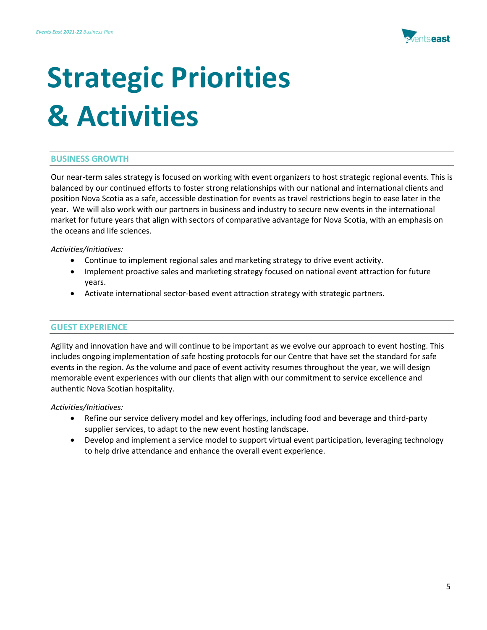

# **Strategic Priorities & Activities**

## **BUSINESS GROWTH**

Our near-term sales strategy is focused on working with event organizers to host strategic regional events. This is balanced by our continued efforts to foster strong relationships with our national and international clients and position Nova Scotia as a safe, accessible destination for events as travel restrictions begin to ease later in the year. We will also work with our partners in business and industry to secure new events in the international market for future years that align with sectors of comparative advantage for Nova Scotia, with an emphasis on the oceans and life sciences.

*Activities/Initiatives:*

- Continue to implement regional sales and marketing strategy to drive event activity.
- Implement proactive sales and marketing strategy focused on national event attraction for future years.
- Activate international sector-based event attraction strategy with strategic partners.

## **GUEST EXPERIENCE**

Agility and innovation have and will continue to be important as we evolve our approach to event hosting. This includes ongoing implementation of safe hosting protocols for our Centre that have set the standard for safe events in the region. As the volume and pace of event activity resumes throughout the year, we will design memorable event experiences with our clients that align with our commitment to service excellence and authentic Nova Scotian hospitality.

*Activities/Initiatives:* 

- Refine our service delivery model and key offerings, including food and beverage and third-party supplier services, to adapt to the new event hosting landscape.
- Develop and implement a service model to support virtual event participation, leveraging technology to help drive attendance and enhance the overall event experience.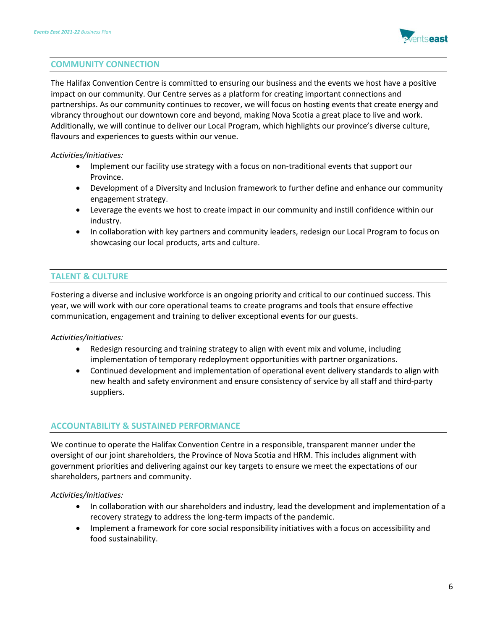

## **COMMUNITY CONNECTION**

The Halifax Convention Centre is committed to ensuring our business and the events we host have a positive impact on our community. Our Centre serves as a platform for creating important connections and partnerships. As our community continues to recover, we will focus on hosting events that create energy and vibrancy throughout our downtown core and beyond, making Nova Scotia a great place to live and work. Additionally, we will continue to deliver our Local Program, which highlights our province's diverse culture, flavours and experiences to guests within our venue.

## *Activities/Initiatives:*

- Implement our facility use strategy with a focus on non-traditional events that support our Province.
- Development of a Diversity and Inclusion framework to further define and enhance our community engagement strategy.
- Leverage the events we host to create impact in our community and instill confidence within our industry.
- In collaboration with key partners and community leaders, redesign our Local Program to focus on showcasing our local products, arts and culture.

## **TALENT & CULTURE**

Fostering a diverse and inclusive workforce is an ongoing priority and critical to our continued success. This year, we will work with our core operational teams to create programs and tools that ensure effective communication, engagement and training to deliver exceptional events for our guests.

## *Activities/Initiatives:*

- Redesign resourcing and training strategy to align with event mix and volume, including implementation of temporary redeployment opportunities with partner organizations.
- Continued development and implementation of operational event delivery standards to align with new health and safety environment and ensure consistency of service by all staff and third-party suppliers.

## **ACCOUNTABILITY & SUSTAINED PERFORMANCE**

We continue to operate the Halifax Convention Centre in a responsible, transparent manner under the oversight of our joint shareholders, the Province of Nova Scotia and HRM. This includes alignment with government priorities and delivering against our key targets to ensure we meet the expectations of our shareholders, partners and community.

*Activities/Initiatives:*

- In collaboration with our shareholders and industry, lead the development and implementation of a recovery strategy to address the long-term impacts of the pandemic.
- Implement a framework for core social responsibility initiatives with a focus on accessibility and food sustainability.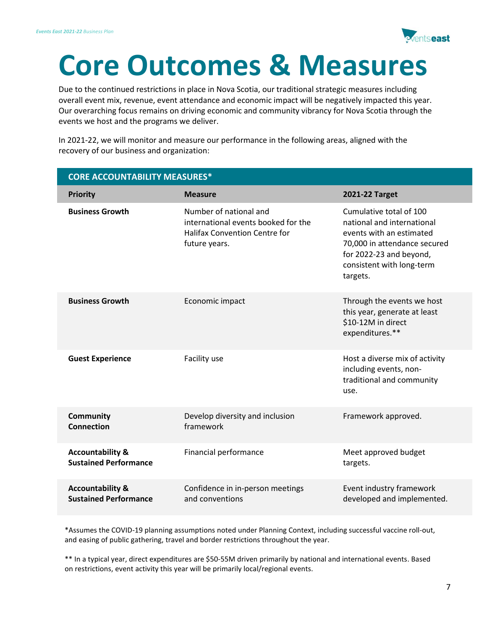

## **Core Outcomes & Measures**

Due to the continued restrictions in place in Nova Scotia, our traditional strategic measures including overall event mix, revenue, event attendance and economic impact will be negatively impacted this year. Our overarching focus remains on driving economic and community vibrancy for Nova Scotia through the events we host and the programs we deliver.

In 2021-22, we will monitor and measure our performance in the following areas, aligned with the recovery of our business and organization:

| <b>CORE ACCOUNTABILITY MEASURES*</b>                        |                                                                                                                        |                                                                                                                                                                                       |  |  |  |
|-------------------------------------------------------------|------------------------------------------------------------------------------------------------------------------------|---------------------------------------------------------------------------------------------------------------------------------------------------------------------------------------|--|--|--|
| <b>Priority</b>                                             | <b>Measure</b>                                                                                                         | 2021-22 Target                                                                                                                                                                        |  |  |  |
| <b>Business Growth</b>                                      | Number of national and<br>international events booked for the<br><b>Halifax Convention Centre for</b><br>future years. | Cumulative total of 100<br>national and international<br>events with an estimated<br>70,000 in attendance secured<br>for 2022-23 and beyond,<br>consistent with long-term<br>targets. |  |  |  |
| <b>Business Growth</b>                                      | Economic impact                                                                                                        | Through the events we host<br>this year, generate at least<br>\$10-12M in direct<br>expenditures.**                                                                                   |  |  |  |
| <b>Guest Experience</b>                                     | Facility use                                                                                                           | Host a diverse mix of activity<br>including events, non-<br>traditional and community<br>use.                                                                                         |  |  |  |
| <b>Community</b><br><b>Connection</b>                       | Develop diversity and inclusion<br>framework                                                                           | Framework approved.                                                                                                                                                                   |  |  |  |
| <b>Accountability &amp;</b><br><b>Sustained Performance</b> | Financial performance                                                                                                  | Meet approved budget<br>targets.                                                                                                                                                      |  |  |  |
| <b>Accountability &amp;</b><br><b>Sustained Performance</b> | Confidence in in-person meetings<br>and conventions                                                                    | Event industry framework<br>developed and implemented.                                                                                                                                |  |  |  |

\*Assumes the COVID-19 planning assumptions noted under Planning Context, including successful vaccine roll-out, and easing of public gathering, travel and border restrictions throughout the year.

\*\* In a typical year, direct expenditures are \$50-55M driven primarily by national and international events. Based on restrictions, event activity this year will be primarily local/regional events.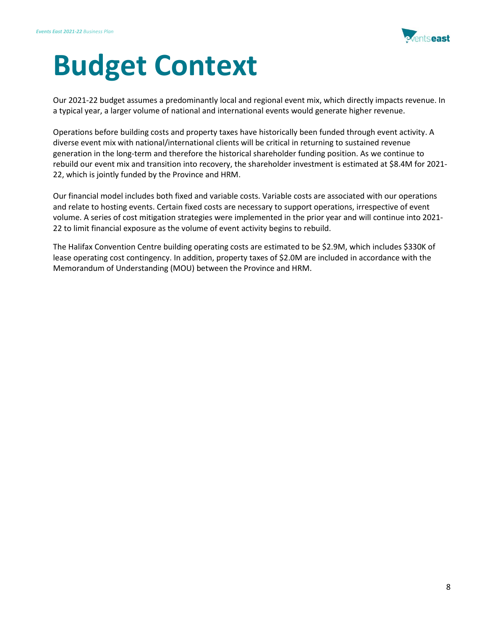

## **Budget Context**

Our 2021-22 budget assumes a predominantly local and regional event mix, which directly impacts revenue. In a typical year, a larger volume of national and international events would generate higher revenue.

Operations before building costs and property taxes have historically been funded through event activity. A diverse event mix with national/international clients will be critical in returning to sustained revenue generation in the long-term and therefore the historical shareholder funding position. As we continue to rebuild our event mix and transition into recovery, the shareholder investment is estimated at \$8.4M for 2021- 22, which is jointly funded by the Province and HRM.

Our financial model includes both fixed and variable costs. Variable costs are associated with our operations and relate to hosting events. Certain fixed costs are necessary to support operations, irrespective of event volume. A series of cost mitigation strategies were implemented in the prior year and will continue into 2021- 22 to limit financial exposure as the volume of event activity begins to rebuild.

The Halifax Convention Centre building operating costs are estimated to be \$2.9M, which includes \$330K of lease operating cost contingency. In addition, property taxes of \$2.0M are included in accordance with the Memorandum of Understanding (MOU) between the Province and HRM.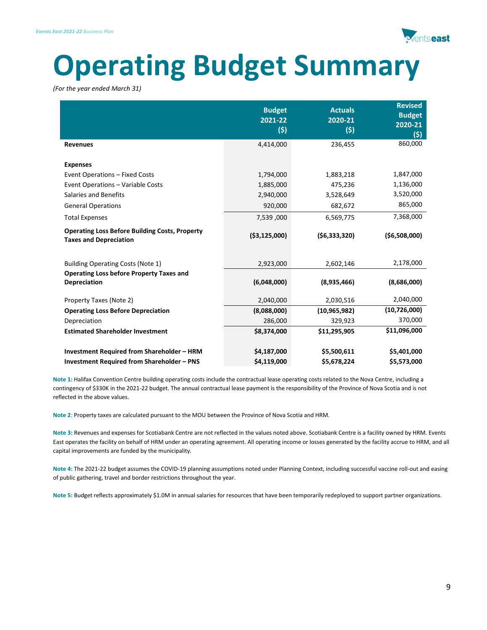

## **Operating Budget Summary**

*(For the year ended March 31)*

|                                                                                                        | <b>Budget</b><br>2021-22<br>(5) | <b>Actuals</b><br>2020-21<br>(5) | <b>Revised</b><br><b>Budget</b><br>2020-21<br>(5) |
|--------------------------------------------------------------------------------------------------------|---------------------------------|----------------------------------|---------------------------------------------------|
| <b>Revenues</b>                                                                                        | 4,414,000                       | 236,455                          | 860,000                                           |
| <b>Expenses</b>                                                                                        |                                 |                                  |                                                   |
| Event Operations - Fixed Costs                                                                         | 1,794,000                       | 1,883,218                        | 1,847,000                                         |
| Event Operations - Variable Costs                                                                      | 1,885,000                       | 475,236                          | 1,136,000                                         |
| <b>Salaries and Benefits</b>                                                                           | 2,940,000                       | 3,528,649                        | 3,520,000                                         |
| <b>General Operations</b>                                                                              | 920,000                         | 682,672                          | 865,000                                           |
| <b>Total Expenses</b>                                                                                  | 7,539,000                       | 6,569,775                        | 7,368,000                                         |
| <b>Operating Loss Before Building Costs, Property</b><br><b>Taxes and Depreciation</b>                 | ( \$3,125,000)                  | (56, 333, 320)                   | ( \$6,508,000)                                    |
| Building Operating Costs (Note 1)                                                                      | 2,923,000                       | 2,602,146                        | 2,178,000                                         |
| <b>Operating Loss before Property Taxes and</b><br><b>Depreciation</b>                                 | (6,048,000)                     | (8,935,466)                      | (8,686,000)                                       |
| Property Taxes (Note 2)                                                                                | 2,040,000                       | 2,030,516                        | 2,040,000                                         |
| <b>Operating Loss Before Depreciation</b>                                                              | (8,088,000)                     | (10, 965, 982)                   | (10,726,000)                                      |
| Depreciation                                                                                           | 286,000                         | 329,923                          | 370,000                                           |
| <b>Estimated Shareholder Investment</b>                                                                | \$8,374,000                     | \$11,295,905                     | \$11,096,000                                      |
| <b>Investment Required from Shareholder - HRM</b><br><b>Investment Required from Shareholder - PNS</b> | \$4,187,000<br>\$4,119,000      | \$5,500,611<br>\$5,678,224       | \$5,401,000<br>\$5,573,000                        |

**Note 1:** Halifax Convention Centre building operating costs include the contractual lease operating costs related to the Nova Centre, including a contingency of \$330K in the 2021-22 budget. The annual contractual lease payment is the responsibility of the Province of Nova Scotia and is not reflected in the above values.

**Note 2**: Property taxes are calculated pursuant to the MOU between the Province of Nova Scotia and HRM.

**Note 3:** Revenues and expenses for Scotiabank Centre are not reflected in the values noted above. Scotiabank Centre is a facility owned by HRM. Events East operates the facility on behalf of HRM under an operating agreement. All operating income or losses generated by the facility accrue to HRM, and all capital improvements are funded by the municipality.

**Note 4:** The 2021-22 budget assumes the COVID-19 planning assumptions noted under Planning Context, including successful vaccine roll-out and easing of public gathering, travel and border restrictions throughout the year.

**Note 5:** Budget reflects approximately \$1.0M in annual salaries for resources that have been temporarily redeployed to support partner organizations.